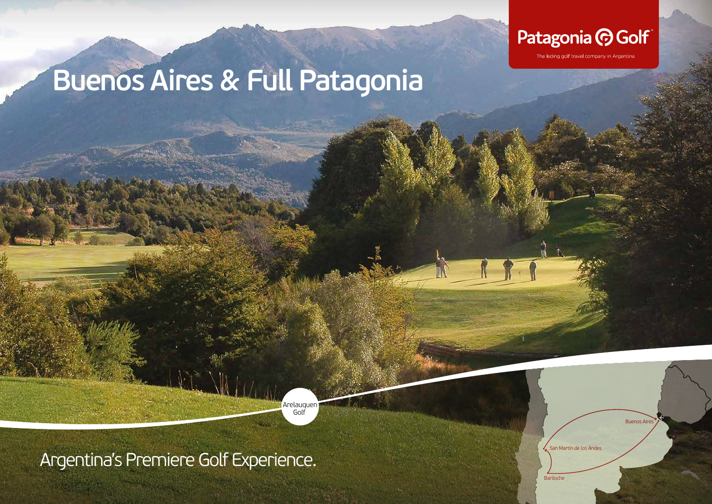

The leding golf travel company in Argentina

# **Buenos Aires & Full Patagonia**

Arelauquen Golf

Argentina's Premiere Golf Experience.

San Martín de los Andes

Bariloche

**Buenos Aires**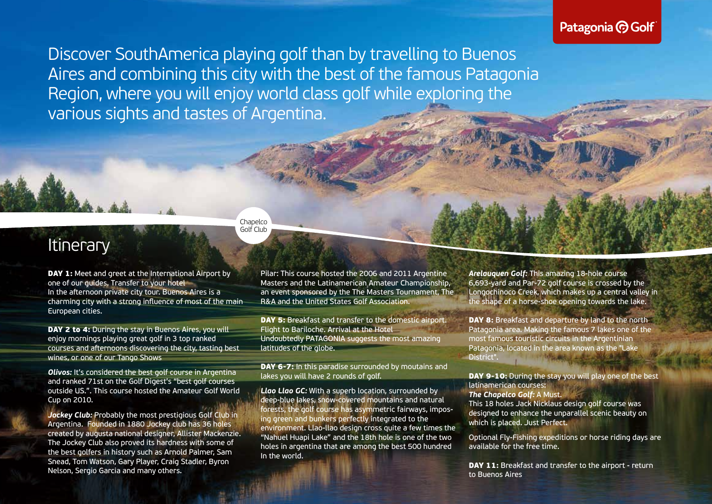### Patagonia **C** Golf

Discover SouthAmerica playing golf than by travelling to Buenos Aires and combining this city with the best of the famous Patagonia Region, where you will enjoy world class golf while exploring the various sights and tastes of Argentina.

#### Chapelco Golf Club

## **Itinerary**

**DAY 1:** Meet and greet at the International Airport by one of our guides. Transfer to your hotel In the afternoon private city tour. Buenos Aires is a charming city with a strong influence of most of the main European cities.

**DAY 2 to 4:** During the stay in Buenos Aires, you will enjoy mornings playing great golf in 3 top ranked courses and afternoons discovering the city, tasting best wines, or one of our Tango Shows

*Olivos:* It's considered the best golf course in Argentina and ranked 71st on the Golf Digest's "best golf courses outside US.". This course hosted the Amateur Golf World Cup on 2010.

*Jockey Club:* Probably the most prestigious Golf Club in Argentina. Founded in 1880 Jockey club has 36 holes created by augusta national designer, Allister Mackenzie. The Jockey Club also proved its hardness with some of the best golfers in history such as Arnold Palmer, Sam Snead, Tom Watson, Gary Player, Craig Stadler, Byron Nelson, Sergio Garcia and many others.

Pilar: This course hosted the 2006 and 2011 Argentine Masters and the Latinamerican Amateur Championship, an event sponsored by the The Masters Tournament, The R&A and the United States Golf Association.

DAY 5: Breakfast and transfer to the domestic airport. Flight to Bariloche. Arrival at the Hotel Undoubtedly PATAGONIA suggests the most amazing latitudes of the globe.

DAY 6-7: In this paradise surrounded by moutains and lakes you will have 2 rounds of golf.

*Llao Llao GC:* With a superb location, surrounded by deep-blue lakes, snow-covered mountains and natural forests, the golf course has asymmetric fairways, imposing green and bunkers perfectly integrated to the environment. Llao-llao design cross quite a few times the "Nahuel Huapi Lake" and the 18th hole is one of the two holes in argentina that are among the best 500 hundred In the world.

*Arelauquen Golf:* This amazing 18-hole course 6,693-yard and Par-72 golf course is crossed by the Longochinoco Creek, which makes up a central valley in the shape of a horse-shoe opening towards the lake.

**DAY 8:** Breakfast and departure by land to the north Patagonia area. Making the famous 7 lakes one of the most famous touristic circuits in the Argentinian Patagonia, located in the area known as the "Lake District".

DAY 9-10: During the stay you will play one of the best latinamerican courses:

#### *The Chapelco Golf:* A Must.

This 18 holes Jack Nicklaus design golf course was designed to enhance the unparallel scenic beauty on which is placed. Just Perfect.

Optional Fly-Fishing expeditions or horse riding days are available for the free time.

DAY 11: Breakfast and transfer to the airport - return to Buenos Aires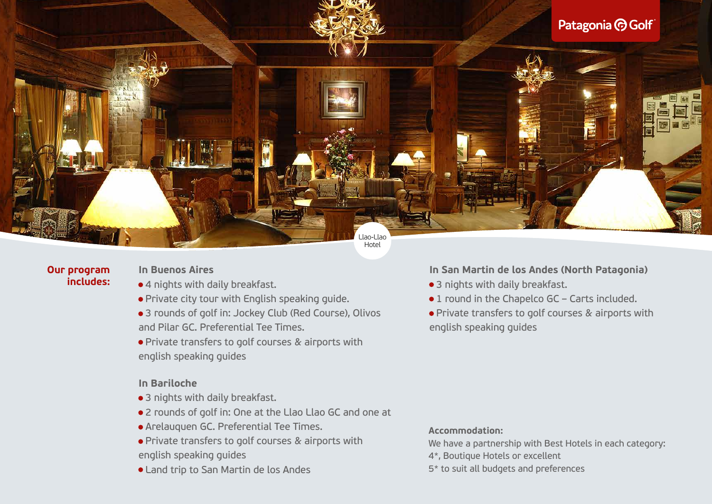

#### **Our program includes:**

#### **In Buenos Aires**

- 4 nights with daily breakfast.
- Private city tour with English speaking guide.
- 3 rounds of golf in: Jockey Club (Red Course), Olivos and Pilar GC. Preferential Tee Times.
- Private transfers to golf courses & airports with english speaking guides

#### **In Bariloche**

- 3 nights with daily breakfast.
- 2 rounds of golf in: One at the Llao Llao GC and one at
- Arelauquen GC. Preferential Tee Times.
- Private transfers to golf courses & airports with english speaking guides
- Land trip to San Martin de los Andes

#### **In San Martin de los Andes (North Patagonia)**

- 3 nights with daily breakfast.
- 1 round in the Chapelco GC Carts included.
- Private transfers to golf courses & airports with english speaking guides

#### **Accommodation:**

- We have a partnership with Best Hotels in each category:
- 4\*, Boutique Hotels or excellent
- 5\* to suit all budgets and preferences